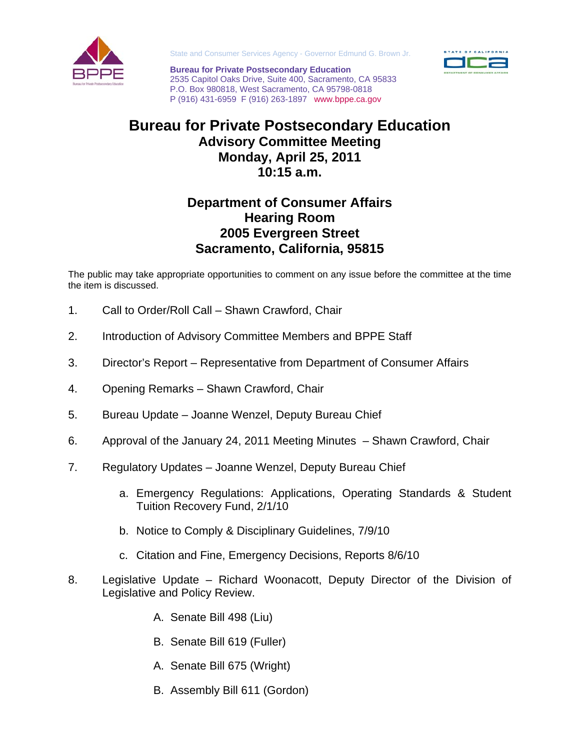

State and Consumer Services Agency - Governor Edmund G. Brown Jr.

**Bureau for Private Postsecondary Education**  2535 Capitol Oaks Drive, Suite 400, Sacramento, CA 95833 P.O. Box 980818, West Sacramento, CA 95798-0818 P (916) 431-6959 F (916) 263-1897 www.bppe.ca.gov



## **Bureau for Private Postsecondary Education Advisory Committee Meeting Monday, April 25, 2011 10:15 a.m.**

## **Department of Consumer Affairs Hearing Room 2005 Evergreen Street Sacramento, California, 95815**

The public may take appropriate opportunities to comment on any issue before the committee at the time the item is discussed.

- 1. Call to Order/Roll Call Shawn Crawford, Chair
- 2. Introduction of Advisory Committee Members and BPPE Staff
- 3. Director's Report Representative from Department of Consumer Affairs
- 4. Opening Remarks Shawn Crawford, Chair
- 5. Bureau Update Joanne Wenzel, Deputy Bureau Chief
- 6. Approval of the January 24, 2011 Meeting Minutes Shawn Crawford, Chair
- 7. Regulatory Updates Joanne Wenzel, Deputy Bureau Chief
	- a. Emergency Regulations: Applications, Operating Standards & Student Tuition Recovery Fund, 2/1/10
	- b. Notice to Comply & Disciplinary Guidelines, 7/9/10
	- c. Citation and Fine, Emergency Decisions, Reports 8/6/10
- 8. Legislative Update Richard Woonacott, Deputy Director of the Division of Legislative and Policy Review.
	- A. Senate Bill 498 (Liu)
	- B. Senate Bill 619 (Fuller)
	- A. Senate Bill 675 (Wright)
	- B. Assembly Bill 611 (Gordon)